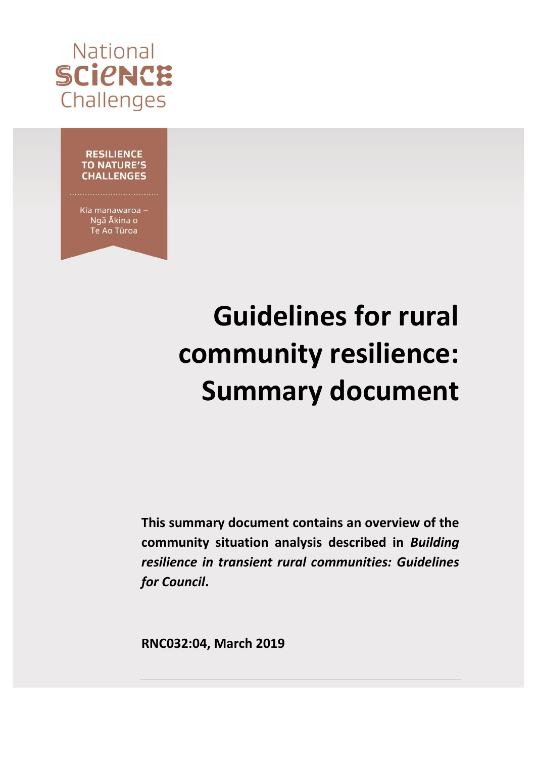

### **RESILIENCE TO NATURE'S CHALLENGES**

Kia manawaroa -Ngã Ākina o Te Ao Tūroa

# **Guidelines for rural community resilience: Summary document**

**This summary document contains an overview of the community situation analysis described in** *Building resilience in transient rural communities: Guidelines for Council***.** 

**RNC032:04, March 2019**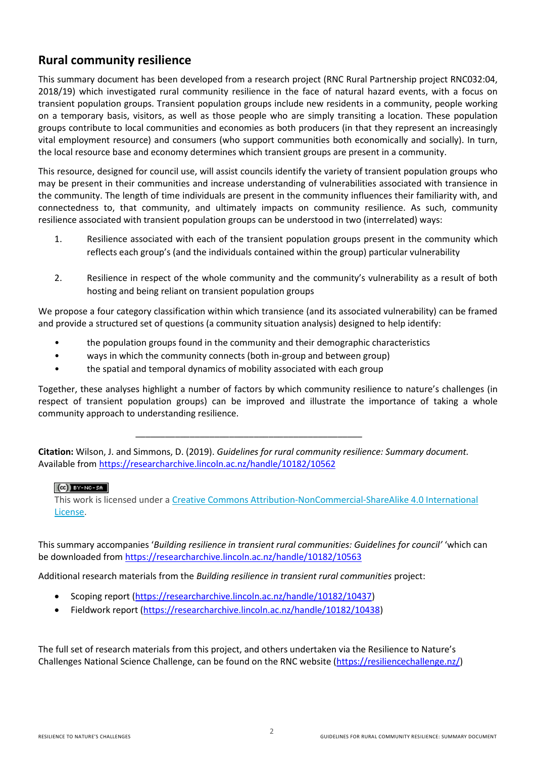# **Rural community resilience**

This summary document has been developed from a research project (RNC Rural Partnership project RNC032:04, 2018/19) which investigated rural community resilience in the face of natural hazard events, with a focus on transient population groups. Transient population groups include new residents in a community, people working on a temporary basis, visitors, as well as those people who are simply transiting a location. These population groups contribute to local communities and economies as both producers (in that they represent an increasingly vital employment resource) and consumers (who support communities both economically and socially). In turn, the local resource base and economy determines which transient groups are present in a community.

This resource, designed for council use, will assist councils identify the variety of transient population groups who may be present in their communities and increase understanding of vulnerabilities associated with transience in the community. The length of time individuals are present in the community influences their familiarity with, and connectedness to, that community, and ultimately impacts on community resilience. As such, community resilience associated with transient population groups can be understood in two (interrelated) ways:

- 1. Resilience associated with each of the transient population groups present in the community which reflects each group's (and the individuals contained within the group) particular vulnerability
- 2. Resilience in respect of the whole community and the community's vulnerability as a result of both hosting and being reliant on transient population groups

We propose a four category classification within which transience (and its associated vulnerability) can be framed and provide a structured set of questions (a community situation analysis) designed to help identify:

- the population groups found in the community and their demographic characteristics
- ways in which the community connects (both in-group and between group)
- the spatial and temporal dynamics of mobility associated with each group

Together, these analyses highlight a number of factors by which community resilience to nature's challenges (in respect of transient population groups) can be improved and illustrate the importance of taking a whole community approach to understanding resilience.

**Citation:** Wilson, J. and Simmons, D. (2019). *Guidelines for rural community resilience: Summary document.* Available from<https://researcharchive.lincoln.ac.nz/handle/10182/10562>

\_\_\_\_\_\_\_\_\_\_\_\_\_\_\_\_\_\_\_\_\_\_\_\_\_\_\_\_\_\_\_\_\_\_\_\_\_\_\_\_\_\_\_\_\_\_

# $(G)$  BY-NC-SA

This work is licensed under a [Creative Commons Attribution-NonCommercial-ShareAlike 4.0 International](http://creativecommons.org/licenses/by-nc-sa/4.0/)  [License.](http://creativecommons.org/licenses/by-nc-sa/4.0/)

This summary accompanies '*Building resilience in transient rural communities: Guidelines for council'* 'which can be downloaded from<https://researcharchive.lincoln.ac.nz/handle/10182/10563>

Additional research materials from the *Building resilience in transient rural communities* project:

- Scoping report [\(https://researcharchive.lincoln.ac.nz/handle/10182/10437\)](https://researcharchive.lincoln.ac.nz/handle/10182/10437)
- Fieldwork report [\(https://researcharchive.lincoln.ac.nz/handle/10182/10438\)](https://researcharchive.lincoln.ac.nz/handle/10182/10438)

The full set of research materials from this project, and others undertaken via the Resilience to Nature's Challenges National Science Challenge, can be found on the RNC website [\(https://resiliencechallenge.nz/\)](https://resiliencechallenge.nz/)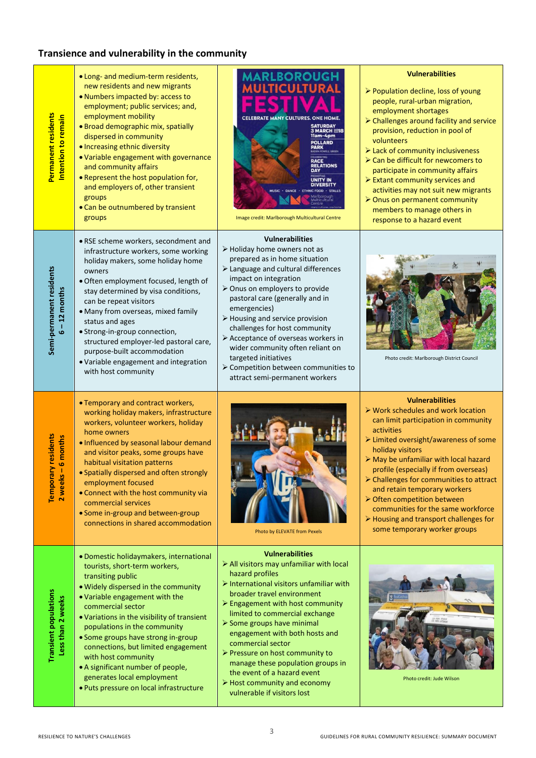# **Transience and vulnerability in the community**

| Permanent residents<br>Intention to remain             | . Long- and medium-term residents,<br>new residents and new migrants<br>. Numbers impacted by: access to<br>employment; public services; and,<br>employment mobility<br>· Broad demographic mix, spatially<br>dispersed in community<br>· Increasing ethnic diversity<br>• Variable engagement with governance<br>and community affairs<br>. Represent the host population for,<br>and employers of, other transient<br>groups<br>• Can be outnumbered by transient<br>groups                | <b>LBOROUGH</b><br><b>ICULTURAL</b><br><b>CELEBRATE MANY CULTURES, ONE HOMI</b><br>3 MARCH 2018<br>11am-4pm<br><b>POLLARD</b><br>PARK<br><b>RACE</b><br><b>RELATIONS</b><br>DAY<br><b>UNITY IN<br/>DIVERSITY</b><br>ETHNIC FOOD · STALLS<br>Image credit: Marlborough Multicultural Centre                                                                                                                                                                                                                   | <b>Vulnerabilities</b><br>> Population decline, loss of young<br>people, rural-urban migration,<br>employment shortages<br>> Challenges around facility and service<br>provision, reduction in pool of<br>volunteers<br>> Lack of community inclusiveness<br>> Can be difficult for newcomers to<br>participate in community affairs<br>> Extant community services and<br>activities may not suit new migrants<br>> Onus on permanent community<br>members to manage others in<br>response to a hazard event |
|--------------------------------------------------------|----------------------------------------------------------------------------------------------------------------------------------------------------------------------------------------------------------------------------------------------------------------------------------------------------------------------------------------------------------------------------------------------------------------------------------------------------------------------------------------------|--------------------------------------------------------------------------------------------------------------------------------------------------------------------------------------------------------------------------------------------------------------------------------------------------------------------------------------------------------------------------------------------------------------------------------------------------------------------------------------------------------------|---------------------------------------------------------------------------------------------------------------------------------------------------------------------------------------------------------------------------------------------------------------------------------------------------------------------------------------------------------------------------------------------------------------------------------------------------------------------------------------------------------------|
| Semi-permanent residents<br>$6 - 12$ months            | • RSE scheme workers, secondment and<br>infrastructure workers, some working<br>holiday makers, some holiday home<br>owners<br>· Often employment focused, length of<br>stay determined by visa conditions,<br>can be repeat visitors<br>· Many from overseas, mixed family<br>status and ages<br>· Strong-in-group connection,<br>structured employer-led pastoral care,<br>purpose-built accommodation<br>· Variable engagement and integration<br>with host community                     | <b>Vulnerabilities</b><br>$\triangleright$ Holiday home owners not as<br>prepared as in home situation<br>> Language and cultural differences<br>impact on integration<br>> Onus on employers to provide<br>pastoral care (generally and in<br>emergencies)<br>> Housing and service provision<br>challenges for host community<br>> Acceptance of overseas workers in<br>wider community often reliant on<br>targeted initiatives<br>> Competition between communities to<br>attract semi-permanent workers | Photo credit: Marlborough District Council                                                                                                                                                                                                                                                                                                                                                                                                                                                                    |
| <b>y</b> residents<br>6 months<br>Temporar<br>2 weeks- | • Temporary and contract workers,<br>working holiday makers, infrastructure<br>workers, volunteer workers, holiday<br>home owners<br>. Influenced by seasonal labour demand<br>and visitor peaks, some groups have<br>habitual visitation patterns<br>· Spatially dispersed and often strongly<br>employment focused<br>• Connect with the host community via<br>commercial services<br>• Some in-group and between-group<br>connections in shared accommodation                             | Photo by ELEVATE from Pexels                                                                                                                                                                                                                                                                                                                                                                                                                                                                                 | <b>Vulnerabilities</b><br>$\triangleright$ Work schedules and work location<br>can limit participation in community<br>activities<br>> Limited oversight/awareness of some<br>holiday visitors<br>> May be unfamiliar with local hazard<br>profile (especially if from overseas)<br>> Challenges for communities to attract<br>and retain temporary workers<br>> Often competition between<br>communities for the same workforce<br>> Housing and transport challenges for<br>some temporary worker groups    |
| <b>Transient populations</b><br>Less than 2 weeks      | · Domestic holidaymakers, international<br>tourists, short-term workers,<br>transiting public<br>. Widely dispersed in the community<br>. Variable engagement with the<br>commercial sector<br>• Variations in the visibility of transient<br>populations in the community<br>• Some groups have strong in-group<br>connections, but limited engagement<br>with host community<br>• A significant number of people,<br>generates local employment<br>· Puts pressure on local infrastructure | <b>Vulnerabilities</b><br>> All visitors may unfamiliar with local<br>hazard profiles<br>> International visitors unfamiliar with<br>broader travel environment<br>> Engagement with host community<br>limited to commercial exchange<br>> Some groups have minimal<br>engagement with both hosts and<br>commercial sector<br>> Pressure on host community to<br>manage these population groups in<br>the event of a hazard event<br>> Host community and economy<br>vulnerable if visitors lost             | Photo credit: Jude Wilson                                                                                                                                                                                                                                                                                                                                                                                                                                                                                     |